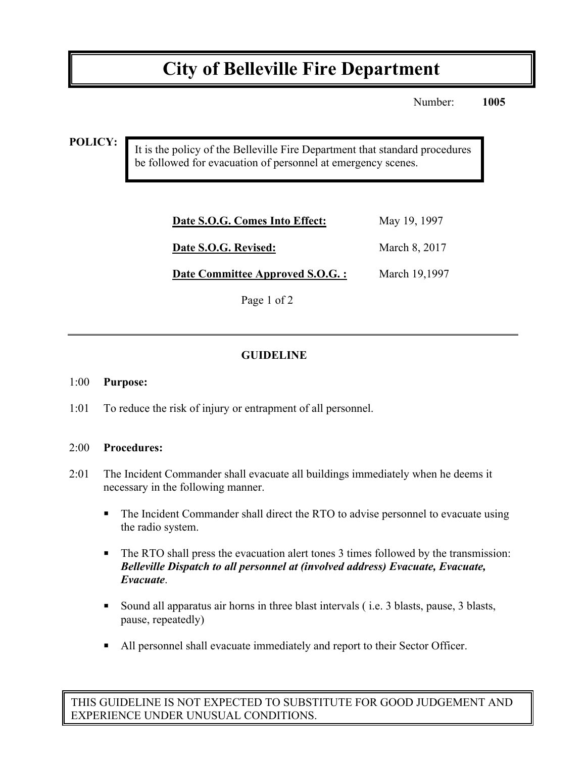# **City of Belleville Fire Department**

Number: **1005**

#### **POLICY:**

It is the policy of the Belleville Fire Department that standard procedures be followed for evacuation of personnel at emergency scenes.

| May 19, 1997  |
|---------------|
| March 8, 2017 |
| March 19,1997 |
|               |

Page 1 of 2

## **GUIDELINE**

#### 1:00 **Purpose:**

1:01 To reduce the risk of injury or entrapment of all personnel.

#### 2:00 **Procedures:**

- 2:01 The Incident Commander shall evacuate all buildings immediately when he deems it necessary in the following manner.
	- The Incident Commander shall direct the RTO to advise personnel to evacuate using the radio system.
	- ! The RTO shall press the evacuation alert tones 3 times followed by the transmission: *Belleville Dispatch to all personnel at (involved address) Evacuate, Evacuate, Evacuate*.
	- ! Sound all apparatus air horns in three blast intervals ( i.e. 3 blasts, pause, 3 blasts, pause, repeatedly)
	- ! All personnel shall evacuate immediately and report to their Sector Officer.

THIS GUIDELINE IS NOT EXPECTED TO SUBSTITUTE FOR GOOD JUDGEMENT AND EXPERIENCE UNDER UNUSUAL CONDITIONS.